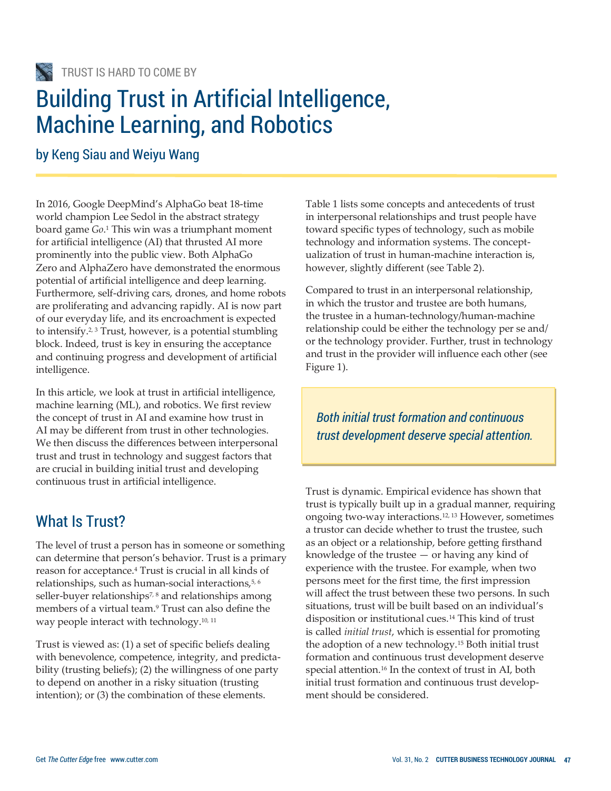# Building Trust in Artificial Intelligence, Machine Learning, and Robotics

by Keng Siau and Weiyu Wang

In 2016, Google DeepMind's AlphaGo beat 18-time world champion Lee Sedol in the abstract strategy board game *Go*. <sup>1</sup> This win was a triumphant moment for artificial intelligence (AI) that thrusted AI more prominently into the public view. Both AlphaGo Zero and AlphaZero have demonstrated the enormous potential of artificial intelligence and deep learning. Furthermore, self-driving cars, drones, and home robots are proliferating and advancing rapidly. AI is now part of our everyday life, and its encroachment is expected to intensify.2, 3 Trust, however, is a potential stumbling block. Indeed, trust is key in ensuring the acceptance and continuing progress and development of artificial intelligence.

In this article, we look at trust in artificial intelligence, machine learning (ML), and robotics. We first review the concept of trust in AI and examine how trust in AI may be different from trust in other technologies. We then discuss the differences between interpersonal trust and trust in technology and suggest factors that are crucial in building initial trust and developing continuous trust in artificial intelligence.

## What Is Trust?

The level of trust a person has in someone or something can determine that person's behavior. Trust is a primary reason for acceptance.<sup>4</sup> Trust is crucial in all kinds of relationships, such as human-social interactions,<sup>5, 6</sup> seller-buyer relationships<sup>7, 8</sup> and relationships among members of a virtual team.<sup>9</sup> Trust can also define the way people interact with technology.<sup>10, 11</sup>

Trust is viewed as: (1) a set of specific beliefs dealing with benevolence, competence, integrity, and predictability (trusting beliefs); (2) the willingness of one party to depend on another in a risky situation (trusting intention); or (3) the combination of these elements.

Table 1 lists some concepts and antecedents of trust in interpersonal relationships and trust people have toward specific types of technology, such as mobile technology and information systems. The conceptualization of trust in human-machine interaction is, however, slightly different (see Table 2).

Compared to trust in an interpersonal relationship, in which the trustor and trustee are both humans, the trustee in a human-technology/human-machine relationship could be either the technology per se and/ or the technology provider. Further, trust in technology and trust in the provider will influence each other (see Figure 1).

*Both initial trust formation and continuous trust development deserve special attention.*

Trust is dynamic. Empirical evidence has shown that trust is typically built up in a gradual manner, requiring ongoing two-way interactions.12, 13 However, sometimes a trustor can decide whether to trust the trustee, such as an object or a relationship, before getting firsthand knowledge of the trustee — or having any kind of experience with the trustee. For example, when two persons meet for the first time, the first impression will affect the trust between these two persons. In such situations, trust will be built based on an individual's disposition or institutional cues.<sup>14</sup> This kind of trust is called *initial trust*, which is essential for promoting the adoption of a new technology.<sup>15</sup> Both initial trust formation and continuous trust development deserve special attention.<sup>16</sup> In the context of trust in AI, both initial trust formation and continuous trust development should be considered.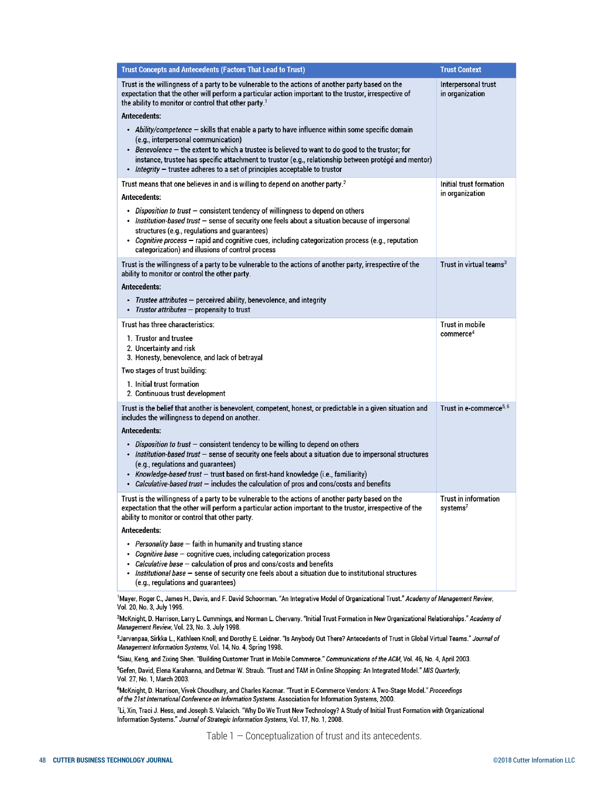| <b>Trust Concepts and Antecedents (Factors That Lead to Trust)</b>                                                                                                                                                                                                                                                                                                                                                                                                                                                                                                                                                                                                                                                                           | <b>Trust Context</b>                         |
|----------------------------------------------------------------------------------------------------------------------------------------------------------------------------------------------------------------------------------------------------------------------------------------------------------------------------------------------------------------------------------------------------------------------------------------------------------------------------------------------------------------------------------------------------------------------------------------------------------------------------------------------------------------------------------------------------------------------------------------------|----------------------------------------------|
| Trust is the willingness of a party to be vulnerable to the actions of another party based on the<br>expectation that the other will perform a particular action important to the trustor, irrespective of<br>the ability to monitor or control that other party. <sup>1</sup><br><b>Antecedents:</b><br>• Ability/competence - skills that enable a party to have influence within some specific domain<br>(e.g., interpersonal communication)<br>• Benevolence - the extent to which a trustee is believed to want to do good to the trustor; for<br>instance, trustee has specific attachment to trustor (e.g., relationship between protégé and mentor)<br>Integrity - trustee adheres to a set of principles acceptable to trustor<br>٠ | Interpersonal trust<br>in organization       |
| Trust means that one believes in and is willing to depend on another party. <sup>2</sup>                                                                                                                                                                                                                                                                                                                                                                                                                                                                                                                                                                                                                                                     | Initial trust formation<br>in organization   |
| Antecedents:                                                                                                                                                                                                                                                                                                                                                                                                                                                                                                                                                                                                                                                                                                                                 |                                              |
| • Disposition to trust – consistent tendency of willingness to depend on others<br>• Institution-based trust - sense of security one feels about a situation because of impersonal<br>structures (e.g., regulations and guarantees)<br>• Cognitive process - rapid and cognitive cues, including categorization process (e.g., reputation<br>categorization) and illusions of control process                                                                                                                                                                                                                                                                                                                                                |                                              |
| Trust is the willingness of a party to be vulnerable to the actions of another party, irrespective of the<br>ability to monitor or control the other party.                                                                                                                                                                                                                                                                                                                                                                                                                                                                                                                                                                                  | Trust in virtual teams $3$                   |
| <b>Antecedents:</b>                                                                                                                                                                                                                                                                                                                                                                                                                                                                                                                                                                                                                                                                                                                          |                                              |
| • Trustee attributes – perceived ability, benevolence, and integrity<br>• Trustor attributes - propensity to trust                                                                                                                                                                                                                                                                                                                                                                                                                                                                                                                                                                                                                           |                                              |
| Trust has three characteristics:                                                                                                                                                                                                                                                                                                                                                                                                                                                                                                                                                                                                                                                                                                             | Trust in mobile                              |
| 1. Trustor and trustee<br>2. Uncertainty and risk<br>3. Honesty, benevolence, and lack of betrayal                                                                                                                                                                                                                                                                                                                                                                                                                                                                                                                                                                                                                                           | commerce <sup>4</sup>                        |
| Two stages of trust building:                                                                                                                                                                                                                                                                                                                                                                                                                                                                                                                                                                                                                                                                                                                |                                              |
| 1. Initial trust formation<br>2. Continuous trust development                                                                                                                                                                                                                                                                                                                                                                                                                                                                                                                                                                                                                                                                                |                                              |
| Trust is the belief that another is benevolent, competent, honest, or predictable in a given situation and<br>includes the willingness to depend on another.<br><b>Antecedents:</b>                                                                                                                                                                                                                                                                                                                                                                                                                                                                                                                                                          | Trust in e-commerce <sup>5, 6</sup>          |
| • Disposition to trust - consistent tendency to be willing to depend on others<br>. Institution-based trust - sense of security one feels about a situation due to impersonal structures<br>(e.g., regulations and guarantees)<br>• Knowledge-based trust - trust based on first-hand knowledge (i.e., familiarity)<br><i>Calculative-based trust</i> – includes the calculation of pros and cons/costs and benefits                                                                                                                                                                                                                                                                                                                         |                                              |
| Trust is the willingness of a party to be vulnerable to the actions of another party based on the<br>expectation that the other will perform a particular action important to the trustor, irrespective of the<br>ability to monitor or control that other party.                                                                                                                                                                                                                                                                                                                                                                                                                                                                            | Trust in information<br>systems <sup>7</sup> |
| Antecedents:                                                                                                                                                                                                                                                                                                                                                                                                                                                                                                                                                                                                                                                                                                                                 |                                              |
| • Personality base – faith in humanity and trusting stance<br>• Cognitive base - cognitive cues, including categorization process<br>• Calculative base - calculation of pros and cons/costs and benefits<br>. Institutional base - sense of security one feels about a situation due to institutional structures<br>(e.g., regulations and guarantees)                                                                                                                                                                                                                                                                                                                                                                                      |                                              |
|                                                                                                                                                                                                                                                                                                                                                                                                                                                                                                                                                                                                                                                                                                                                              |                                              |

1Mayer, Roger C., James H., Davis, and F. David Schoorman. "An Integrative Model of Organizational Trust." Academy of Management Review, Vol. 20, No. 3, July 1995.

<sup>2</sup>McKnight, D. Harrison, Larry L. Cummings, and Norman L. Chervany. "Initial Trust Formation in New Organizational Relationships." Academy of Management Review, Vol. 23, No. 3, July 1998.

<sup>3</sup>Jarvenpaa, Sirkka L., Kathleen Knoll, and Dorothy E. Leidner. "Is Anybody Out There? Antecedents of Trust in Global Virtual Teams." Journal of Management Information Systems, Vol. 14, No. 4, Spring 1998.

4Siau, Keng, and Zixing Shen. "Building Customer Trust in Mobile Commerce." Communications of the ACM, Vol. 46, No. 4, April 2003.

<sup>5</sup>Gefen, David, Elena Karahanna, and Detmar W. Straub. "Trust and TAM in Online Shopping: An Integrated Model." MIS Quarterly, Vol. 27, No. 1, March 2003.

<sup>6</sup>McKnight, D. Harrison, Vivek Choudhury, and Charles Kacmar. "Trust in E-Commerce Vendors: A Two-Stage Model." Proceedings of the 21st International Conference on Information Systems. Association for Information Systems, 2000.

<sup>7</sup>Li, Xin, Traci J. Hess, and Joseph S. Valacich. "Why Do We Trust New Technology? A Study of Initial Trust Formation with Organizational Information Systems." Journal of Strategic Information Systems, Vol. 17, No. 1, 2008.

Table 1 — Conceptualization of trust and its antecedents.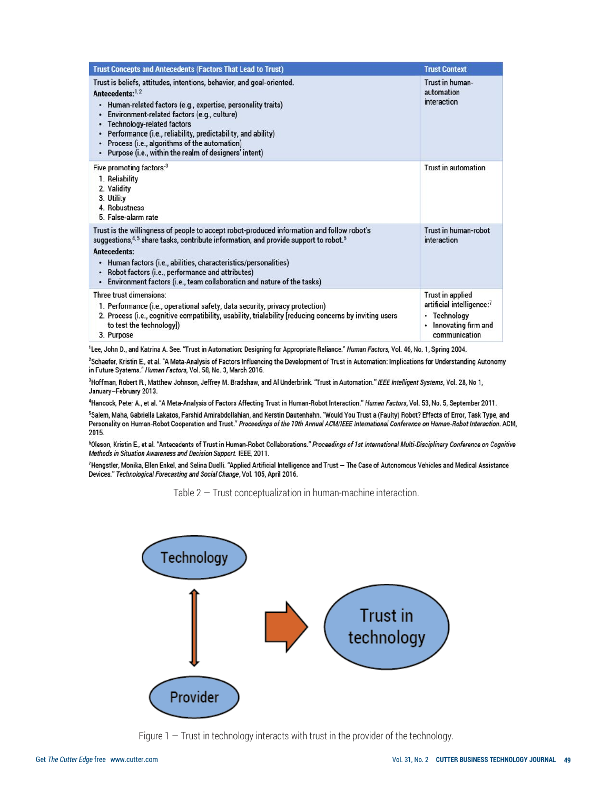| <b>Trust Concepts and Antecedents (Factors That Lead to Trust)</b>                                                                                                                                                                                                                                                                                                                                                                  | <b>Trust Context</b>                                                                                            |
|-------------------------------------------------------------------------------------------------------------------------------------------------------------------------------------------------------------------------------------------------------------------------------------------------------------------------------------------------------------------------------------------------------------------------------------|-----------------------------------------------------------------------------------------------------------------|
| Trust is beliefs, attitudes, intentions, behavior, and goal-oriented.<br>Antecedents:1,2<br>Human-related factors (e.g., expertise, personality traits)<br>٠<br>Environment-related factors (e.g., culture)<br><b>Technology-related factors</b><br>Performance (i.e., reliability, predictability, and ability)<br>Process (i.e., algorithms of the automation)<br>Purpose (i.e., within the realm of designers' intent)<br>٠      | Trust in human-<br>automation<br>interaction                                                                    |
| Five promoting factors: $3$<br>1. Reliability<br>2. Validity<br>3. Utility<br>4. Robustness<br>5. False-alarm rate                                                                                                                                                                                                                                                                                                                  | Trust in automation                                                                                             |
| Trust is the willingness of people to accept robot-produced information and follow robot's<br>suggestions, <sup>4,5</sup> share tasks, contribute information, and provide support to robot. <sup>6</sup><br>Antecedents:<br>Human factors (i.e., abilities, characteristics/personalities)<br>٠<br>Robot factors (i.e., performance and attributes)<br>Environment factors (i.e., team collaboration and nature of the tasks)<br>٠ | Trust in human-robot<br>interaction                                                                             |
| Three trust dimensions:<br>1. Performance (i.e., operational safety, data security, privacy protection)<br>2. Process (i.e., cognitive compatibility, usability, trialability [reducing concerns by inviting users<br>to test the technology])<br>3. Purpose                                                                                                                                                                        | <b>Trust in applied</b><br>artificial intelligence:7<br>Technology<br>٠<br>Innovating firm and<br>communication |

<sup>1</sup>Lee, John D., and Katrina A. See. "Trust in Automation: Designing for Appropriate Reliance." Human Factors, Vol. 46, No. 1, Spring 2004.

<sup>2</sup>Schaefer, Kristin E., et al. "A Meta-Analysis of Factors Influencing the Development of Trust in Automation: Implications for Understanding Autonomy in Future Systems." Human Factors, Vol. 58, No. 3, March 2016.

<sup>3</sup>Hoffman, Robert R., Matthew Johnson, Jeffrey M. Bradshaw, and Al Underbrink. "Trust in Automation." IEEE Intelligent Systems, Vol. 28, No 1, January-February 2013.

<sup>4</sup>Hancock, Peter A., et al. "A Meta-Analysis of Factors Affecting Trust in Human-Robot Interaction." Human Factors, Vol. 53, No. 5, September 2011.

<sup>5</sup>Salem, Maha, Gabriella Lakatos, Farshid Amirabdollahian, and Kerstin Dautenhahn. "Would You Trust a (Faulty) Robot? Effects of Error, Task Type, and Personality on Human-Robot Cooperation and Trust." Proceedings of the 10th Annual ACM/IEEE International Conference on Human-Robot Interaction. ACM, 2015.

<sup>6</sup>Oleson, Kristin E., et al. "Antecedents of Trust in Human-Robot Collaborations." Proceedings of 1st International Multi-Disciplinary Conference on Cognitive Methods in Situation Awareness and Decision Support. IEEE, 2011.

7Hengstler, Monika, Ellen Enkel, and Selina Duelli. "Applied Artificial Intelligence and Trust - The Case of Autonomous Vehicles and Medical Assistance Devices." Technological Forecasting and Social Change, Vol. 105, April 2016.

Table 2 — Trust conceptualization in human-machine interaction.



Figure  $1 -$  Trust in technology interacts with trust in the provider of the technology.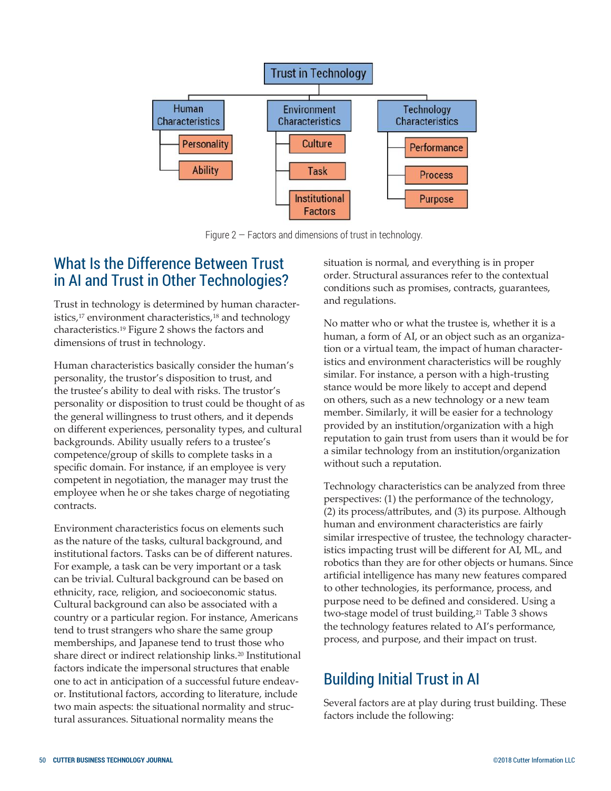

Figure  $2$  – Factors and dimensions of trust in technology.

## What Is the Difference Between Trust in AI and Trust in Other Technologies?

Trust in technology is determined by human characteristics,<sup>17</sup> environment characteristics,<sup>18</sup> and technology characteristics.<sup>19</sup> Figure 2 shows the factors and dimensions of trust in technology.

Human characteristics basically consider the human's personality, the trustor's disposition to trust, and the trustee's ability to deal with risks. The trustor's personality or disposition to trust could be thought of as the general willingness to trust others, and it depends on different experiences, personality types, and cultural backgrounds. Ability usually refers to a trustee's competence/group of skills to complete tasks in a specific domain. For instance, if an employee is very competent in negotiation, the manager may trust the employee when he or she takes charge of negotiating contracts.

Environment characteristics focus on elements such as the nature of the tasks, cultural background, and institutional factors. Tasks can be of different natures. For example, a task can be very important or a task can be trivial. Cultural background can be based on ethnicity, race, religion, and socioeconomic status. Cultural background can also be associated with a country or a particular region. For instance, Americans tend to trust strangers who share the same group memberships, and Japanese tend to trust those who share direct or indirect relationship links.<sup>20</sup> Institutional factors indicate the impersonal structures that enable one to act in anticipation of a successful future endeavor. Institutional factors, according to literature, include two main aspects: the situational normality and structural assurances. Situational normality means the

situation is normal, and everything is in proper order. Structural assurances refer to the contextual conditions such as promises, contracts, guarantees, and regulations.

No matter who or what the trustee is, whether it is a human, a form of AI, or an object such as an organization or a virtual team, the impact of human characteristics and environment characteristics will be roughly similar. For instance, a person with a high-trusting stance would be more likely to accept and depend on others, such as a new technology or a new team member. Similarly, it will be easier for a technology provided by an institution/organization with a high reputation to gain trust from users than it would be for a similar technology from an institution/organization without such a reputation.

Technology characteristics can be analyzed from three perspectives: (1) the performance of the technology, (2) its process/attributes, and (3) its purpose. Although human and environment characteristics are fairly similar irrespective of trustee, the technology characteristics impacting trust will be different for AI, ML, and robotics than they are for other objects or humans. Since artificial intelligence has many new features compared to other technologies, its performance, process, and purpose need to be defined and considered. Using a two-stage model of trust building,<sup>21</sup> Table 3 shows the technology features related to AI's performance, process, and purpose, and their impact on trust.

## Building Initial Trust in AI

Several factors are at play during trust building. These factors include the following: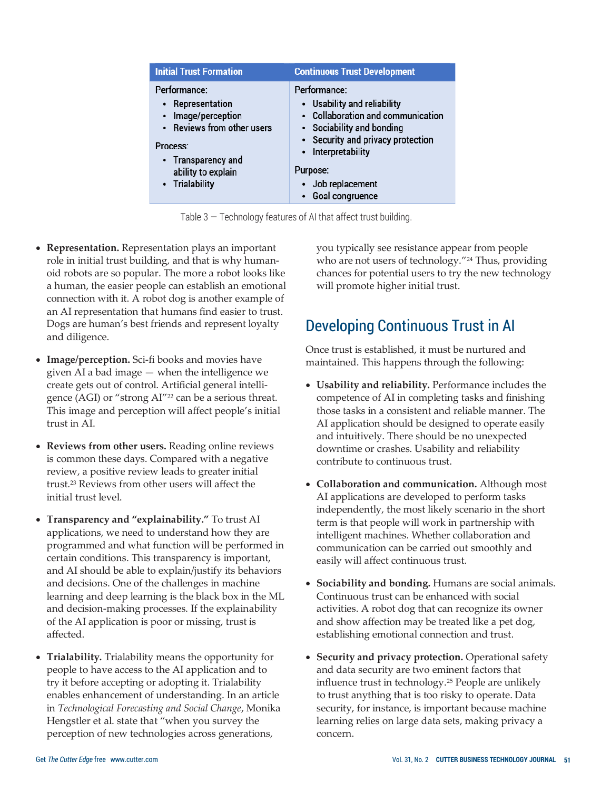| <b>Initial Trust Formation</b>                                                                                                                                            | <b>Continuous Trust Development</b>                                                                                                                                                                                                     |
|---------------------------------------------------------------------------------------------------------------------------------------------------------------------------|-----------------------------------------------------------------------------------------------------------------------------------------------------------------------------------------------------------------------------------------|
| Performance:<br>• Representation<br>Image/perception<br>$\bullet$<br>• Reviews from other users<br>Process:<br>• Transparency and<br>ability to explain<br>• Trialability | Performance:<br>• Usability and reliability<br>• Collaboration and communication<br>• Sociability and bonding<br>• Security and privacy protection<br>• Interpretability<br>Purpose:<br>Job replacement<br>$\bullet$<br>Goal congruence |

Table 3 — Technology features of AI that affect trust building.

- **Representation.** Representation plays an important role in initial trust building, and that is why humanoid robots are so popular. The more a robot looks like a human, the easier people can establish an emotional connection with it. A robot dog is another example of an AI representation that humans find easier to trust. Dogs are human's best friends and represent loyalty and diligence.
- **Image/perception.** Sci-fi books and movies have given AI a bad image — when the intelligence we create gets out of control. Artificial general intelligence (AGI) or "strong AI" <sup>22</sup> can be a serious threat. This image and perception will affect people's initial trust in AI.
- **Reviews from other users.** Reading online reviews is common these days. Compared with a negative review, a positive review leads to greater initial trust.<sup>23</sup> Reviews from other users will affect the initial trust level.
- **Transparency and "explainability."** To trust AI applications, we need to understand how they are programmed and what function will be performed in certain conditions. This transparency is important, and AI should be able to explain/justify its behaviors and decisions. One of the challenges in machine learning and deep learning is the black box in the ML and decision-making processes. If the explainability of the AI application is poor or missing, trust is affected.
- **Trialability.** Trialability means the opportunity for people to have access to the AI application and to try it before accepting or adopting it. Trialability enables enhancement of understanding. In an article in *Technological Forecasting and Social Change*, Monika Hengstler et al. state that "when you survey the perception of new technologies across generations,

you typically see resistance appear from people who are not users of technology." <sup>24</sup> Thus, providing chances for potential users to try the new technology will promote higher initial trust.

## Developing Continuous Trust in AI

Once trust is established, it must be nurtured and maintained. This happens through the following:

- **Usability and reliability.** Performance includes the competence of AI in completing tasks and finishing those tasks in a consistent and reliable manner. The AI application should be designed to operate easily and intuitively. There should be no unexpected downtime or crashes. Usability and reliability contribute to continuous trust.
- **Collaboration and communication.** Although most AI applications are developed to perform tasks independently, the most likely scenario in the short term is that people will work in partnership with intelligent machines. Whether collaboration and communication can be carried out smoothly and easily will affect continuous trust.
- **Sociability and bonding.** Humans are social animals. Continuous trust can be enhanced with social activities. A robot dog that can recognize its owner and show affection may be treated like a pet dog, establishing emotional connection and trust.
- **Security and privacy protection.** Operational safety and data security are two eminent factors that influence trust in technology.<sup>25</sup> People are unlikely to trust anything that is too risky to operate. Data security, for instance, is important because machine learning relies on large data sets, making privacy a concern.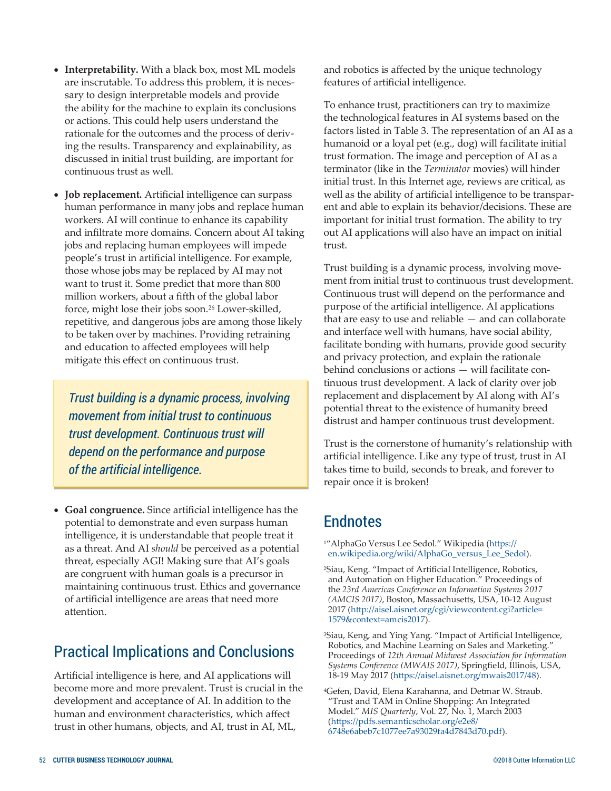- **Interpretability.** With a black box, most ML models are inscrutable. To address this problem, it is necessary to design interpretable models and provide the ability for the machine to explain its conclusions or actions. This could help users understand the rationale for the outcomes and the process of deriving the results. Transparency and explainability, as discussed in initial trust building, are important for continuous trust as well.
- **Job replacement.** Artificial intelligence can surpass human performance in many jobs and replace human workers. AI will continue to enhance its capability and infiltrate more domains. Concern about AI taking jobs and replacing human employees will impede people's trust in artificial intelligence. For example, those whose jobs may be replaced by AI may not want to trust it. Some predict that more than 800 million workers, about a fifth of the global labor force, might lose their jobs soon.<sup>26</sup> Lower-skilled, repetitive, and dangerous jobs are among those likely to be taken over by machines. Providing retraining and education to affected employees will help mitigate this effect on continuous trust.

*Trust building is a dynamic process, involving movement from initial trust to continuous trust development. Continuous trust will depend on the performance and purpose of the artificial intelligence.* 

• **Goal congruence.** Since artificial intelligence has the potential to demonstrate and even surpass human intelligence, it is understandable that people treat it as a threat. And AI *should* be perceived as a potential threat, especially AGI! Making sure that AI's goals are congruent with human goals is a precursor in maintaining continuous trust. Ethics and governance of artificial intelligence are areas that need more attention.

## Practical Implications and Conclusions

Artificial intelligence is here, and AI applications will become more and more prevalent. Trust is crucial in the development and acceptance of AI. In addition to the human and environment characteristics, which affect trust in other humans, objects, and AI, trust in AI, ML,

and robotics is affected by the unique technology features of artificial intelligence.

To enhance trust, practitioners can try to maximize the technological features in AI systems based on the factors listed in Table 3. The representation of an AI as a humanoid or a loyal pet (e.g., dog) will facilitate initial trust formation. The image and perception of AI as a terminator (like in the *Terminator* movies) will hinder initial trust. In this Internet age, reviews are critical, as well as the ability of artificial intelligence to be transparent and able to explain its behavior/decisions. These are important for initial trust formation. The ability to try out AI applications will also have an impact on initial trust.

Trust building is a dynamic process, involving movement from initial trust to continuous trust development. Continuous trust will depend on the performance and purpose of the artificial intelligence. AI applications that are easy to use and reliable — and can collaborate and interface well with humans, have social ability, facilitate bonding with humans, provide good security and privacy protection, and explain the rationale behind conclusions or actions — will facilitate continuous trust development. A lack of clarity over job replacement and displacement by AI along with AI's potential threat to the existence of humanity breed distrust and hamper continuous trust development.

Trust is the cornerstone of humanity's relationship with artificial intelligence. Like any type of trust, trust in AI takes time to build, seconds to break, and forever to repair once it is broken!

## Endnotes

- <sup>1</sup>"AlphaGo Versus Lee Sedol." Wikipedia ([https://](https://en.wikipedia.org/wiki/AlphaGo_versus_Lee_Sedol) [en.wikipedia.org/wiki/AlphaGo\\_versus\\_Lee\\_Sedol\).](https://en.wikipedia.org/wiki/AlphaGo_versus_Lee_Sedol)
- <sup>2</sup>Siau, Keng. "Impact of Artificial Intelligence, Robotics, and Automation on Higher Education." Proceedings of the *23rd Americas Conference on Information Systems 2017 (AMCIS 2017)*, Boston, Massachusetts, USA, 10-12 August 2017 ([http://aisel.aisnet.org/cgi/viewcontent.cgi?article=](http://aisel.aisnet.org/cgi/viewcontent.cgi?article=1579&context=amcis2017) [1579&context=amcis2017\)](http://aisel.aisnet.org/cgi/viewcontent.cgi?article=1579&context=amcis2017).

<sup>3</sup>Siau, Keng, and Ying Yang. "Impact of Artificial Intelligence, Robotics, and Machine Learning on Sales and Marketing." Proceedings of *12th Annual Midwest Association for Information Systems Conference (MWAIS 2017)*, Springfield, Illinois, USA, 18-19 May 2017 [\(https://aisel.aisnet.org/mwais2017/48\).](https://aisel.aisnet.org/mwais2017/48)

<sup>4</sup>Gefen, David, Elena Karahanna, and Detmar W. Straub. "Trust and TAM in Online Shopping: An Integrated Model." *MIS Quarterly*, Vol. 27, No. 1, March 2003 ([https://pdfs.semanticscholar.org/e2e8/](https://pdfs.semanticscholar.org/e2e8/6748e6abeb7c1077ee7a93029fa4d7843d70.pdf) [6748e6abeb7c1077ee7a93029fa4d7843d70.pdf\)](https://pdfs.semanticscholar.org/e2e8/6748e6abeb7c1077ee7a93029fa4d7843d70.pdf).